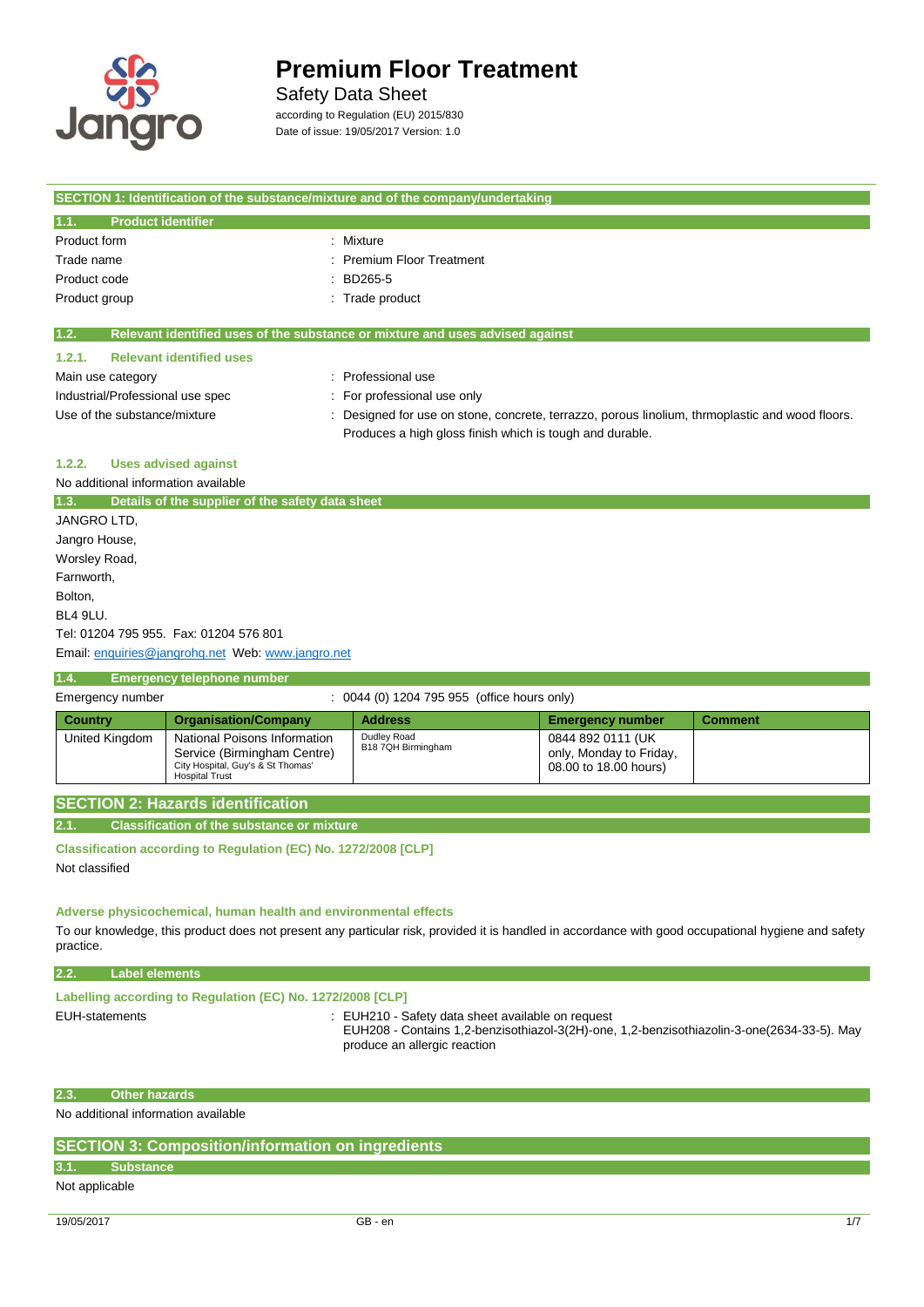

# Safety Data Sheet

according to Regulation (EU) 2015/830 Date of issue: 19/05/2017 Version: 1.0

| SECTION 1: Identification of the substance/mixture and of the company/undertaking |                                                                                               |
|-----------------------------------------------------------------------------------|-----------------------------------------------------------------------------------------------|
| <b>Product identifier</b><br>1.1.                                                 |                                                                                               |
| Product form                                                                      | : Mixture                                                                                     |
| Trade name                                                                        | <b>Premium Floor Treatment</b>                                                                |
| Product code                                                                      | BD265-5                                                                                       |
| Product group                                                                     | : Trade product                                                                               |
|                                                                                   |                                                                                               |
| 1.2.                                                                              | Relevant identified uses of the substance or mixture and uses advised against                 |
| <b>Relevant identified uses</b><br>1.2.1.                                         |                                                                                               |
| Main use category                                                                 | : Professional use                                                                            |
| Industrial/Professional use spec                                                  | For professional use only                                                                     |
| Use of the substance/mixture                                                      | Designed for use on stone, concrete, terrazzo, porous linolium, thrmoplastic and wood floors. |
|                                                                                   | Produces a high gloss finish which is tough and durable.                                      |
| <b>Uses advised against</b><br>1.2.2.                                             |                                                                                               |
| No additional information available                                               |                                                                                               |
| 1.3.<br>Details of the supplier of the safety data sheet                          |                                                                                               |
| JANGRO LTD,                                                                       |                                                                                               |
| Jangro House,                                                                     |                                                                                               |
| Worsley Road,                                                                     |                                                                                               |
| Farnworth,                                                                        |                                                                                               |
| Bolton,                                                                           |                                                                                               |
| BL4 9LU.                                                                          |                                                                                               |

Tel: 01204 795 955. Fax: 01204 576 801

Email[: enquiries@jangrohq.net](mailto:enquiries@jangrohq.net) Web: [www.jangro.net](http://www.jangro.net/)

## **1.4. Emergency telephone number**

| Emergency number |                                                                                                                           | : 0044 (0) 1204 795 955 (office hours only) |                                                                       |                |
|------------------|---------------------------------------------------------------------------------------------------------------------------|---------------------------------------------|-----------------------------------------------------------------------|----------------|
| Country          | <b>Organisation/Company</b>                                                                                               | <b>Address</b>                              | <b>Emergency number</b>                                               | <b>Comment</b> |
| United Kingdom   | National Poisons Information<br>Service (Birmingham Centre)<br>City Hospital, Guy's & St Thomas'<br><b>Hospital Trust</b> | Dudley Road<br>B18 7QH Birmingham           | 0844 892 0111 (UK<br>only, Monday to Friday,<br>08.00 to 18.00 hours) |                |

# **SECTION 2: Hazards identification**

**2.1. Classification of the substance or mixture**

**Classification according to Regulation (EC) No. 1272/2008 [CLP]**

Not classified

# **Adverse physicochemical, human health and environmental effects**

To our knowledge, this product does not present any particular risk, provided it is handled in accordance with good occupational hygiene and safety practice.

# **2.2. Label elements**

# **Labelling according to Regulation (EC) No. 1272/2008 [CLP]**

EUH-statements : EUH210 - Safety data sheet available on request

EUH208 - Contains 1,2-benzisothiazol-3(2H)-one, 1,2-benzisothiazolin-3-one(2634-33-5). May produce an allergic reaction

#### **2.3. Other hazards**

No additional information available

# **SECTION 3: Composition/information on ingredients**

# **3.1. Substance**

Not applicable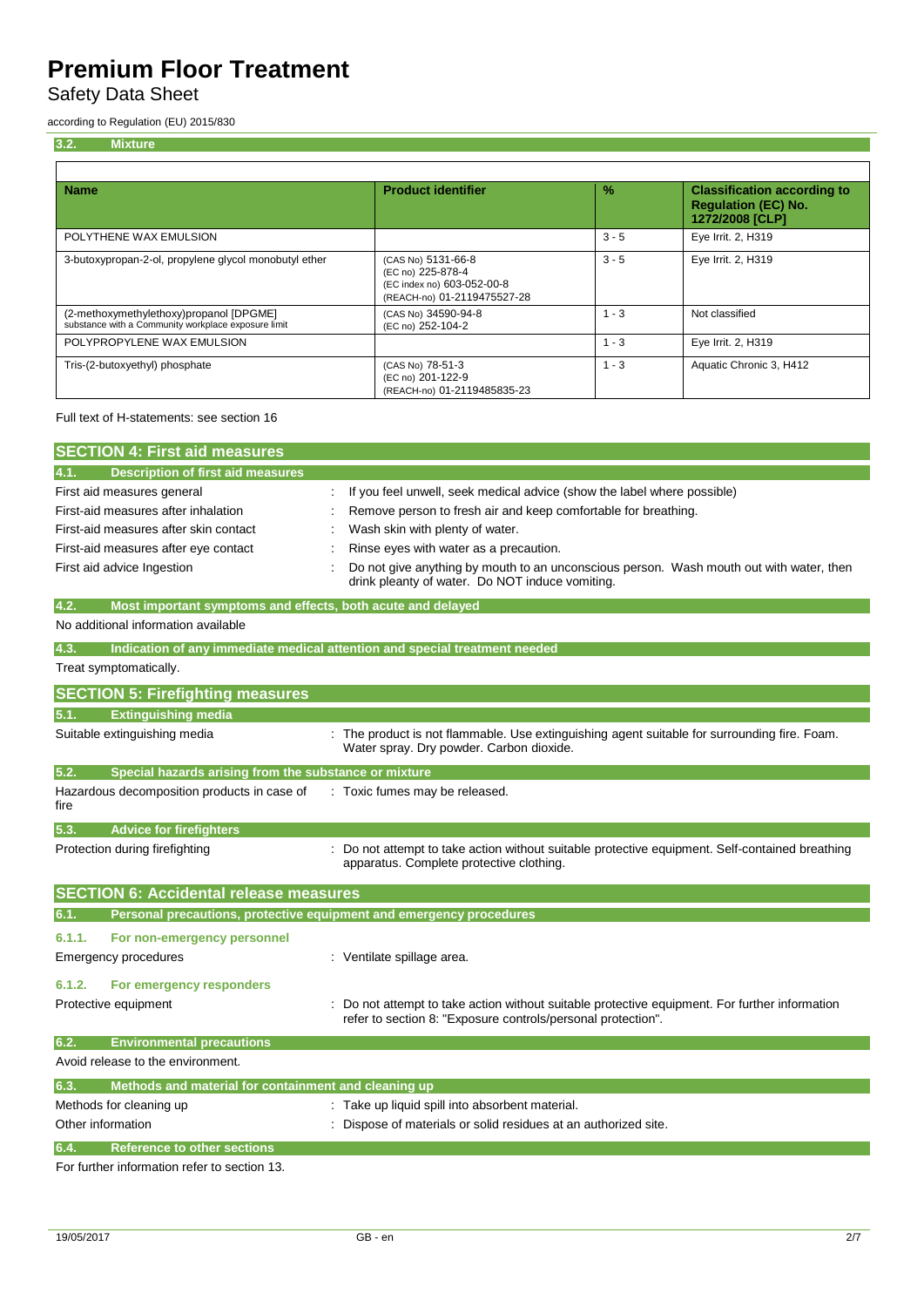Safety Data Sheet

according to Regulation (EU) 2015/830

| 3.2.<br><b>Mixture</b>                                                                         |                                                                                                      |               |                                                                                     |
|------------------------------------------------------------------------------------------------|------------------------------------------------------------------------------------------------------|---------------|-------------------------------------------------------------------------------------|
| <b>Name</b>                                                                                    | <b>Product identifier</b>                                                                            | $\frac{9}{6}$ | <b>Classification according to</b><br><b>Regulation (EC) No.</b><br>1272/2008 [CLP] |
| POLYTHENE WAX EMULSION                                                                         |                                                                                                      | $3 - 5$       | Eye Irrit. 2, H319                                                                  |
| 3-butoxypropan-2-ol, propylene glycol monobutyl ether                                          | (CAS No) 5131-66-8<br>(EC no) 225-878-4<br>(EC index no) 603-052-00-8<br>(REACH-no) 01-2119475527-28 | $3 - 5$       | Eye Irrit. 2, H319                                                                  |
| (2-methoxymethylethoxy)propanol [DPGME]<br>substance with a Community workplace exposure limit | (CAS No) 34590-94-8<br>(EC no) 252-104-2                                                             | $1 - 3$       | Not classified                                                                      |
| POLYPROPYLENE WAX EMULSION                                                                     |                                                                                                      | $1 - 3$       | Eye Irrit. 2, H319                                                                  |
| Tris-(2-butoxyethyl) phosphate                                                                 | (CAS No) 78-51-3<br>(EC no) 201-122-9<br>(REACH-no) 01-2119485835-23                                 | $1 - 3$       | Aquatic Chronic 3, H412                                                             |

Full text of H-statements: see section 16

| <b>SECTION 4: First aid measures</b>                                |                                                                                                                                                              |
|---------------------------------------------------------------------|--------------------------------------------------------------------------------------------------------------------------------------------------------------|
| <b>Description of first aid measures</b><br>4.1.                    |                                                                                                                                                              |
| First aid measures general                                          | If you feel unwell, seek medical advice (show the label where possible)                                                                                      |
| First-aid measures after inhalation                                 | Remove person to fresh air and keep comfortable for breathing.                                                                                               |
| First-aid measures after skin contact                               | Wash skin with plenty of water.                                                                                                                              |
| First-aid measures after eye contact                                | Rinse eyes with water as a precaution.                                                                                                                       |
| First aid advice Ingestion                                          | Do not give anything by mouth to an unconscious person. Wash mouth out with water, then<br>drink pleanty of water. Do NOT induce vomiting.                   |
| 4.2.<br>Most important symptoms and effects, both acute and delayed |                                                                                                                                                              |
| No additional information available                                 |                                                                                                                                                              |
| 4.3.                                                                | Indication of any immediate medical attention and special treatment needed                                                                                   |
| Treat symptomatically.                                              |                                                                                                                                                              |
| <b>SECTION 5: Firefighting measures</b>                             |                                                                                                                                                              |
| <b>Extinguishing media</b><br>5.1.                                  |                                                                                                                                                              |
| Suitable extinguishing media                                        | : The product is not flammable. Use extinguishing agent suitable for surrounding fire. Foam.                                                                 |
|                                                                     | Water spray. Dry powder. Carbon dioxide.                                                                                                                     |
| 5.2.<br>Special hazards arising from the substance or mixture       |                                                                                                                                                              |
| Hazardous decomposition products in case of                         | : Toxic fumes may be released.                                                                                                                               |
| fire                                                                |                                                                                                                                                              |
| 5.3.<br><b>Advice for firefighters</b>                              |                                                                                                                                                              |
| Protection during firefighting                                      | Do not attempt to take action without suitable protective equipment. Self-contained breathing                                                                |
|                                                                     | apparatus. Complete protective clothing.                                                                                                                     |
| <b>SECTION 6: Accidental release measures</b>                       |                                                                                                                                                              |
| 6.1.                                                                | Personal precautions, protective equipment and emergency procedures                                                                                          |
| 6.1.1.<br>For non-emergency personnel                               |                                                                                                                                                              |
| <b>Emergency procedures</b>                                         | : Ventilate spillage area.                                                                                                                                   |
|                                                                     |                                                                                                                                                              |
| 6.1.2.<br>For emergency responders                                  |                                                                                                                                                              |
| Protective equipment                                                | Do not attempt to take action without suitable protective equipment. For further information<br>refer to section 8: "Exposure controls/personal protection". |
| 6.2.<br><b>Environmental precautions</b>                            |                                                                                                                                                              |
| Avoid release to the environment.                                   |                                                                                                                                                              |
| Methods and material for containment and cleaning up<br>6.3         |                                                                                                                                                              |
| Methods for cleaning up                                             | : Take up liquid spill into absorbent material.                                                                                                              |

Other information **contrary to the contrary of the contrary of materials** or solid residues at an authorized site. **6.4. Reference to other sections** For further information refer to section 13.

19/05/2017 GB - en 2/7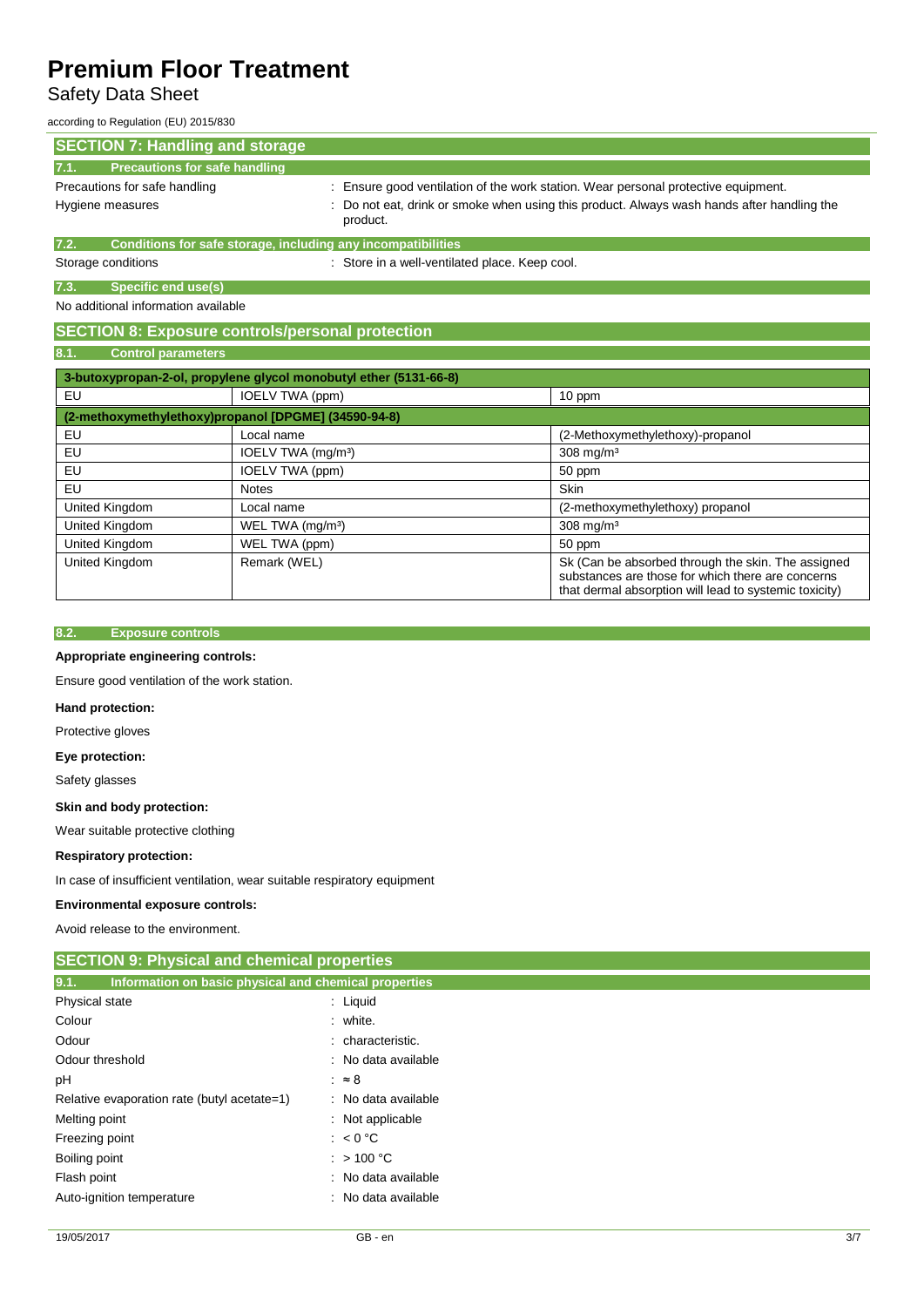# Safety Data Sheet

according to Regulation (EU) 2015/830

| <b>SECTION 7: Handling and storage</b>                               |                                                                                                        |
|----------------------------------------------------------------------|--------------------------------------------------------------------------------------------------------|
| <b>Precautions for safe handling</b><br>7.1.                         |                                                                                                        |
| Precautions for safe handling                                        | : Ensure good ventilation of the work station. Wear personal protective equipment.                     |
| Hygiene measures                                                     | : Do not eat, drink or smoke when using this product. Always wash hands after handling the<br>product. |
| Conditions for safe storage, including any incompatibilities<br>7.2. |                                                                                                        |
| Storage conditions                                                   | : Store in a well-ventilated place. Keep cool.                                                         |
| Specific end use(s)<br>7.3.                                          |                                                                                                        |
| No additional information available                                  |                                                                                                        |
| <b>SECTION 8: Exposure controls/personal protection</b>              |                                                                                                        |

## **8.1. Control parameters**

| 3-butoxypropan-2-ol, propylene glycol monobutyl ether (5131-66-8) |                                |                                                                                                                                                                   |  |
|-------------------------------------------------------------------|--------------------------------|-------------------------------------------------------------------------------------------------------------------------------------------------------------------|--|
| EU                                                                | IOELV TWA (ppm)                | 10 ppm                                                                                                                                                            |  |
| (2-methoxymethylethoxy)propanol [DPGME] (34590-94-8)              |                                |                                                                                                                                                                   |  |
| EU                                                                | Local name                     | (2-Methoxymethylethoxy)-propanol                                                                                                                                  |  |
| EU                                                                | IOELV TWA (mg/m <sup>3</sup> ) | $308$ mg/m <sup>3</sup>                                                                                                                                           |  |
| EU                                                                | IOELV TWA (ppm)                | 50 ppm                                                                                                                                                            |  |
| EU                                                                | <b>Notes</b>                   | <b>Skin</b>                                                                                                                                                       |  |
| United Kingdom                                                    | Local name                     | (2-methoxymethylethoxy) propanol                                                                                                                                  |  |
| United Kingdom                                                    | WEL TWA (mg/m <sup>3</sup> )   | $308$ mg/m <sup>3</sup>                                                                                                                                           |  |
| United Kingdom                                                    | WEL TWA (ppm)                  | 50 ppm                                                                                                                                                            |  |
| United Kingdom                                                    | Remark (WEL)                   | Sk (Can be absorbed through the skin. The assigned<br>substances are those for which there are concerns<br>that dermal absorption will lead to systemic toxicity) |  |

## **8.2. Exposure controls**

# **Appropriate engineering controls:**

Ensure good ventilation of the work station.

# **Hand protection:**

Protective gloves

## **Eye protection:**

Safety glasses

## **Skin and body protection:**

Wear suitable protective clothing

## **Respiratory protection:**

In case of insufficient ventilation, wear suitable respiratory equipment

## **Environmental exposure controls:**

Avoid release to the environment.

| <b>SECTION 9: Physical and chemical properties</b>            |                     |  |
|---------------------------------------------------------------|---------------------|--|
| 9.1.<br>Information on basic physical and chemical properties |                     |  |
| Physical state                                                | $:$ Liquid          |  |
| Colour                                                        | : white.            |  |
| Odour                                                         | : characteristic.   |  |
| Odour threshold                                               | : No data available |  |
| рH                                                            | $\approx 8$         |  |
| Relative evaporation rate (butyl acetate=1)                   | : No data available |  |
| Melting point                                                 | : Not applicable    |  |
| Freezing point                                                | : $< 0 °C$          |  |
| Boiling point                                                 | $:$ > 100 °C        |  |
| Flash point                                                   | : No data available |  |
| Auto-ignition temperature                                     | : No data available |  |
|                                                               |                     |  |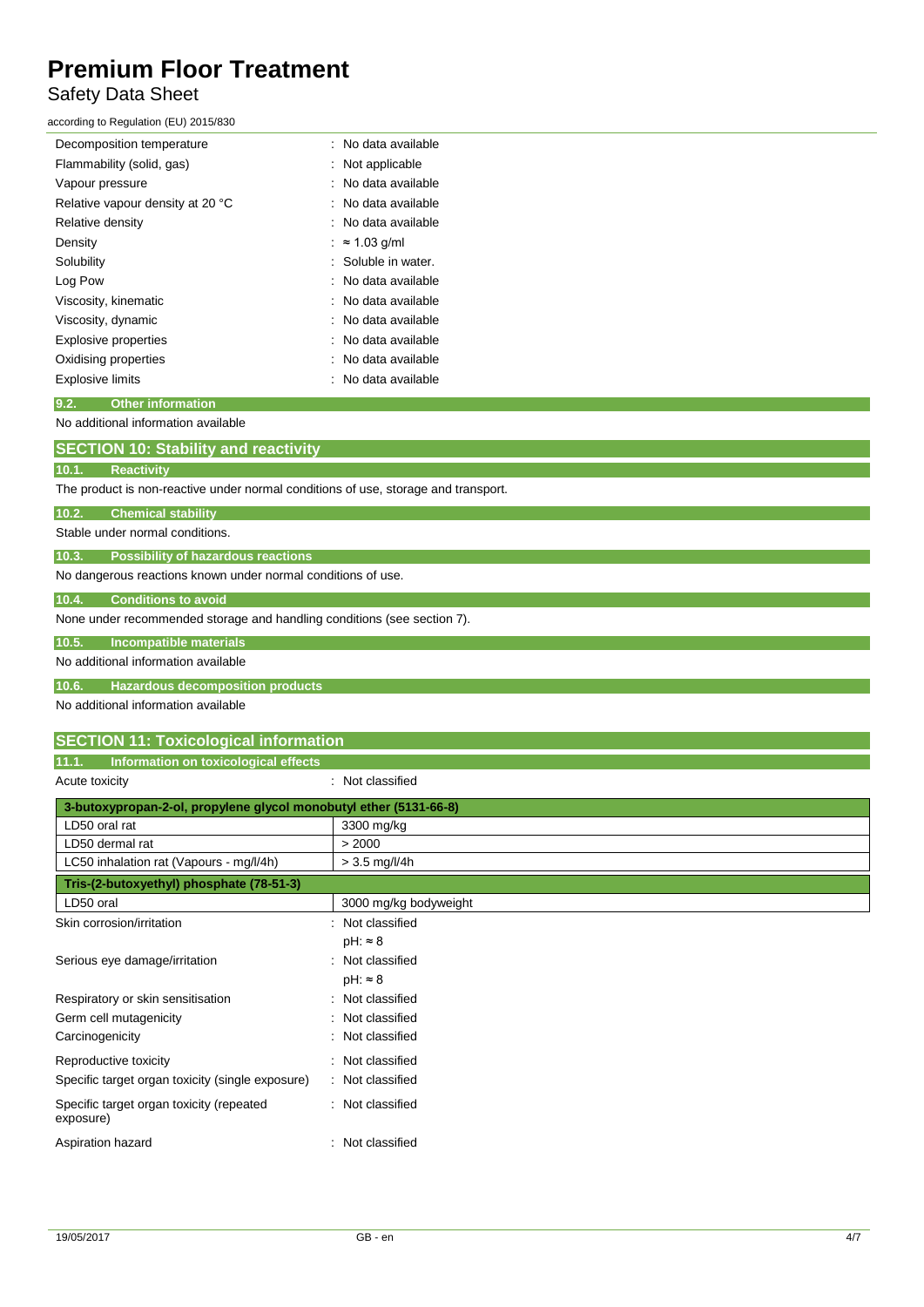# Safety Data Sheet

according to Regulation (EU) 2015/830

| Decomposition temperature        | : No data available |
|----------------------------------|---------------------|
| Flammability (solid, gas)        | Not applicable      |
| Vapour pressure                  | : No data available |
| Relative vapour density at 20 °C | : No data available |
| Relative density                 | : No data available |
| Density                          | $\approx$ 1.03 g/ml |
| Solubility                       | : Soluble in water. |
| Log Pow                          | : No data available |
| Viscosity, kinematic             | : No data available |
| Viscosity, dynamic               | : No data available |
| <b>Explosive properties</b>      | No data available   |
| Oxidising properties             | : No data available |
| <b>Explosive limits</b>          | No data available   |
|                                  |                     |

## **9.2. Other information**

No additional information available

| <b>SECTION 10: Stability and reactivity</b>                                        |
|------------------------------------------------------------------------------------|
| 10.1.<br><b>Reactivity</b>                                                         |
| The product is non-reactive under normal conditions of use, storage and transport. |
| 10.2.<br><b>Chemical stability</b>                                                 |
| Stable under normal conditions.                                                    |
| 10.3.<br><b>Possibility of hazardous reactions</b>                                 |
| No dangerous reactions known under normal conditions of use.                       |
| 10.4.<br><b>Conditions to avoid</b>                                                |
| None under recommended storage and handling conditions (see section 7).            |
| 10.5.<br>Incompatible materials                                                    |
| No additional information available                                                |

**10.6. Hazardous decomposition products**

No additional information available

| 11.1.          | Information on toxicological effects |  |
|----------------|--------------------------------------|--|
| Acute toxicity | Not classified                       |  |

| 3-butoxypropan-2-ol, propylene glycol monobutyl ether (5131-66-8) |                       |  |
|-------------------------------------------------------------------|-----------------------|--|
| LD50 oral rat                                                     | 3300 mg/kg            |  |
| LD50 dermal rat                                                   | > 2000                |  |
| LC50 inhalation rat (Vapours - mg/l/4h)                           | $> 3.5$ mg/l/4h       |  |
| Tris-(2-butoxyethyl) phosphate (78-51-3)                          |                       |  |
| LD50 oral                                                         | 3000 mg/kg bodyweight |  |
| Skin corrosion/irritation                                         | Not classified        |  |
|                                                                   | $pH: \approx 8$       |  |
| Serious eye damage/irritation                                     | Not classified        |  |
|                                                                   | $pH: \approx 8$       |  |
| Respiratory or skin sensitisation                                 | Not classified        |  |
| Germ cell mutagenicity                                            | Not classified        |  |
| Carcinogenicity                                                   | Not classified        |  |
| Reproductive toxicity                                             | Not classified        |  |
| Specific target organ toxicity (single exposure)                  | Not classified        |  |
| Specific target organ toxicity (repeated<br>exposure)             | Not classified        |  |
| Aspiration hazard                                                 | Not classified        |  |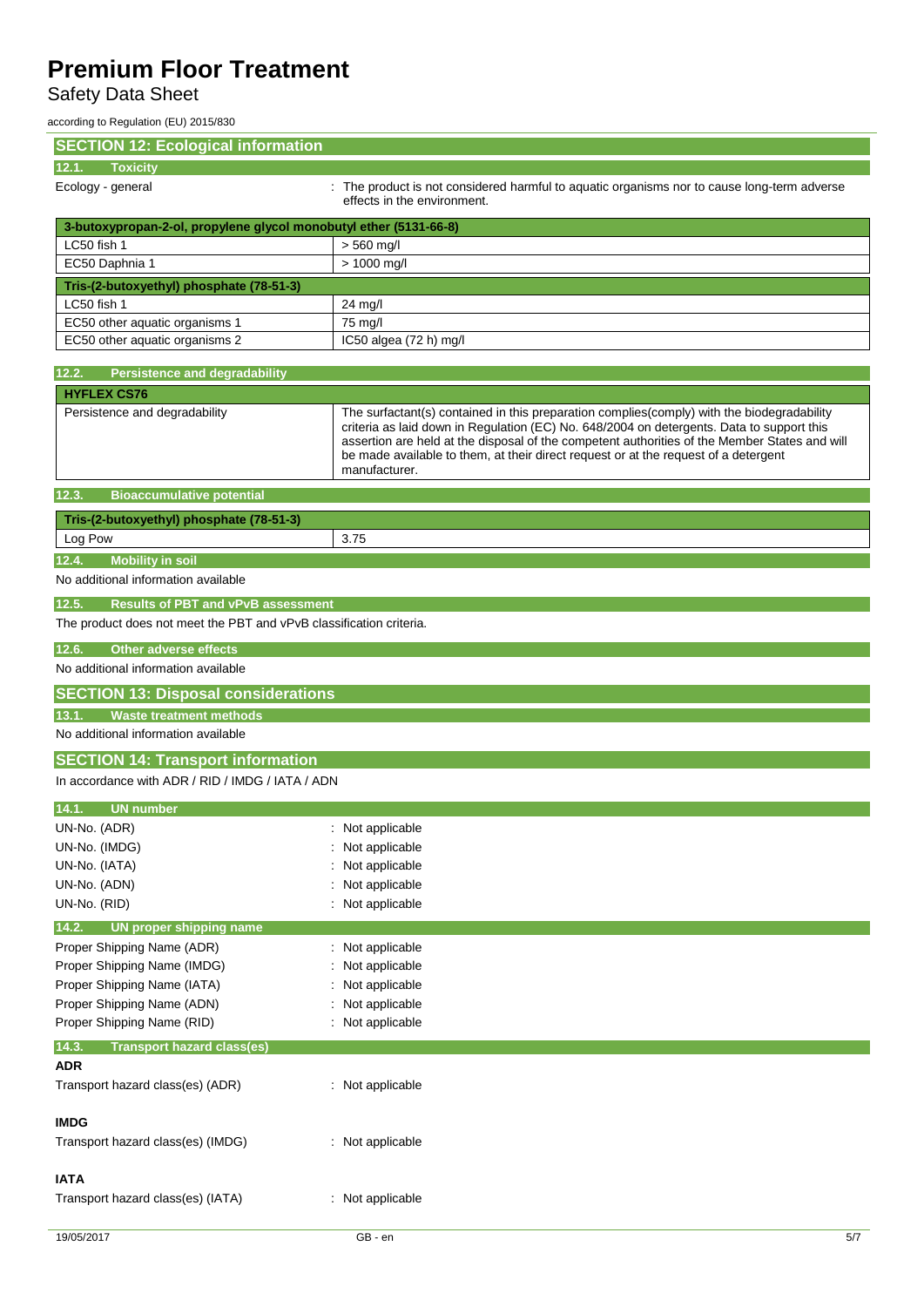Safety Data Sheet

according to Regulation (EU) 2015/830

| <b>SECTION 12: Ecological information</b>                                    |                                                                                                                                                                                                                                                                                                                                                                                                  |  |
|------------------------------------------------------------------------------|--------------------------------------------------------------------------------------------------------------------------------------------------------------------------------------------------------------------------------------------------------------------------------------------------------------------------------------------------------------------------------------------------|--|
| 12.1.<br><b>Toxicity</b>                                                     |                                                                                                                                                                                                                                                                                                                                                                                                  |  |
| Ecology - general                                                            | : The product is not considered harmful to aquatic organisms nor to cause long-term adverse<br>effects in the environment.                                                                                                                                                                                                                                                                       |  |
| 3-butoxypropan-2-ol, propylene glycol monobutyl ether (5131-66-8)            |                                                                                                                                                                                                                                                                                                                                                                                                  |  |
| LC50 fish 1                                                                  | $> 560$ mg/l                                                                                                                                                                                                                                                                                                                                                                                     |  |
| EC50 Daphnia 1                                                               | $> 1000$ mg/l                                                                                                                                                                                                                                                                                                                                                                                    |  |
| Tris-(2-butoxyethyl) phosphate (78-51-3)                                     |                                                                                                                                                                                                                                                                                                                                                                                                  |  |
| LC50 fish 1                                                                  | 24 mg/l                                                                                                                                                                                                                                                                                                                                                                                          |  |
| EC50 other aquatic organisms 1                                               | 75 mg/l                                                                                                                                                                                                                                                                                                                                                                                          |  |
| EC50 other aquatic organisms 2                                               | IC50 algea (72 h) mg/l                                                                                                                                                                                                                                                                                                                                                                           |  |
|                                                                              |                                                                                                                                                                                                                                                                                                                                                                                                  |  |
| 12.2.<br><b>Persistence and degradability</b>                                |                                                                                                                                                                                                                                                                                                                                                                                                  |  |
| <b>HYFLEX CS76</b>                                                           |                                                                                                                                                                                                                                                                                                                                                                                                  |  |
| Persistence and degradability                                                | The surfactant(s) contained in this preparation complies(comply) with the biodegradability<br>criteria as laid down in Regulation (EC) No. 648/2004 on detergents. Data to support this<br>assertion are held at the disposal of the competent authorities of the Member States and will<br>be made available to them, at their direct request or at the request of a detergent<br>manufacturer. |  |
| <b>Bioaccumulative potential</b><br>12.3.                                    |                                                                                                                                                                                                                                                                                                                                                                                                  |  |
| Tris-(2-butoxyethyl) phosphate (78-51-3)                                     |                                                                                                                                                                                                                                                                                                                                                                                                  |  |
| Log Pow                                                                      | 3.75                                                                                                                                                                                                                                                                                                                                                                                             |  |
| <b>Mobility in soil</b><br>12.4.                                             |                                                                                                                                                                                                                                                                                                                                                                                                  |  |
| No additional information available                                          |                                                                                                                                                                                                                                                                                                                                                                                                  |  |
| <b>Results of PBT and vPvB assessment</b>                                    |                                                                                                                                                                                                                                                                                                                                                                                                  |  |
| 12.5.<br>The product does not meet the PBT and vPvB classification criteria. |                                                                                                                                                                                                                                                                                                                                                                                                  |  |
|                                                                              |                                                                                                                                                                                                                                                                                                                                                                                                  |  |
| <b>Other adverse effects</b><br>12.6.                                        |                                                                                                                                                                                                                                                                                                                                                                                                  |  |
| No additional information available                                          |                                                                                                                                                                                                                                                                                                                                                                                                  |  |
| <b>SECTION 13: Disposal considerations</b>                                   |                                                                                                                                                                                                                                                                                                                                                                                                  |  |
| <b>Waste treatment methods</b><br>13.1.                                      |                                                                                                                                                                                                                                                                                                                                                                                                  |  |
| No additional information available                                          |                                                                                                                                                                                                                                                                                                                                                                                                  |  |
| <b>SECTION 14: Transport information</b>                                     |                                                                                                                                                                                                                                                                                                                                                                                                  |  |
| In accordance with ADR / RID / IMDG / IATA / ADN                             |                                                                                                                                                                                                                                                                                                                                                                                                  |  |
|                                                                              |                                                                                                                                                                                                                                                                                                                                                                                                  |  |
| <b>UN number</b><br>14.1.                                                    |                                                                                                                                                                                                                                                                                                                                                                                                  |  |
| UN-No. (ADR)                                                                 | Not applicable                                                                                                                                                                                                                                                                                                                                                                                   |  |
| UN-No. (IMDG)                                                                | Not applicable                                                                                                                                                                                                                                                                                                                                                                                   |  |
| UN-No. (IATA)                                                                | Not applicable                                                                                                                                                                                                                                                                                                                                                                                   |  |
| UN-No. (ADN)                                                                 | Not applicable                                                                                                                                                                                                                                                                                                                                                                                   |  |
| UN-No. (RID)                                                                 | Not applicable                                                                                                                                                                                                                                                                                                                                                                                   |  |
| 14.2.<br>UN proper shipping name                                             |                                                                                                                                                                                                                                                                                                                                                                                                  |  |
| Proper Shipping Name (ADR)                                                   | Not applicable                                                                                                                                                                                                                                                                                                                                                                                   |  |
| Proper Shipping Name (IMDG)                                                  | Not applicable                                                                                                                                                                                                                                                                                                                                                                                   |  |
| Proper Shipping Name (IATA)                                                  | Not applicable                                                                                                                                                                                                                                                                                                                                                                                   |  |
| Proper Shipping Name (ADN)                                                   | Not applicable                                                                                                                                                                                                                                                                                                                                                                                   |  |
| Proper Shipping Name (RID)                                                   | : Not applicable                                                                                                                                                                                                                                                                                                                                                                                 |  |
|                                                                              |                                                                                                                                                                                                                                                                                                                                                                                                  |  |
| 14.3.<br><b>Transport hazard class(es)</b><br><b>ADR</b>                     |                                                                                                                                                                                                                                                                                                                                                                                                  |  |
| Transport hazard class(es) (ADR)                                             | : Not applicable                                                                                                                                                                                                                                                                                                                                                                                 |  |
| <b>IMDG</b>                                                                  |                                                                                                                                                                                                                                                                                                                                                                                                  |  |
| Transport hazard class(es) (IMDG)                                            | : Not applicable                                                                                                                                                                                                                                                                                                                                                                                 |  |
|                                                                              |                                                                                                                                                                                                                                                                                                                                                                                                  |  |
| <b>IATA</b>                                                                  |                                                                                                                                                                                                                                                                                                                                                                                                  |  |
| Transport hazard class(es) (IATA)                                            | : Not applicable                                                                                                                                                                                                                                                                                                                                                                                 |  |
|                                                                              |                                                                                                                                                                                                                                                                                                                                                                                                  |  |
|                                                                              |                                                                                                                                                                                                                                                                                                                                                                                                  |  |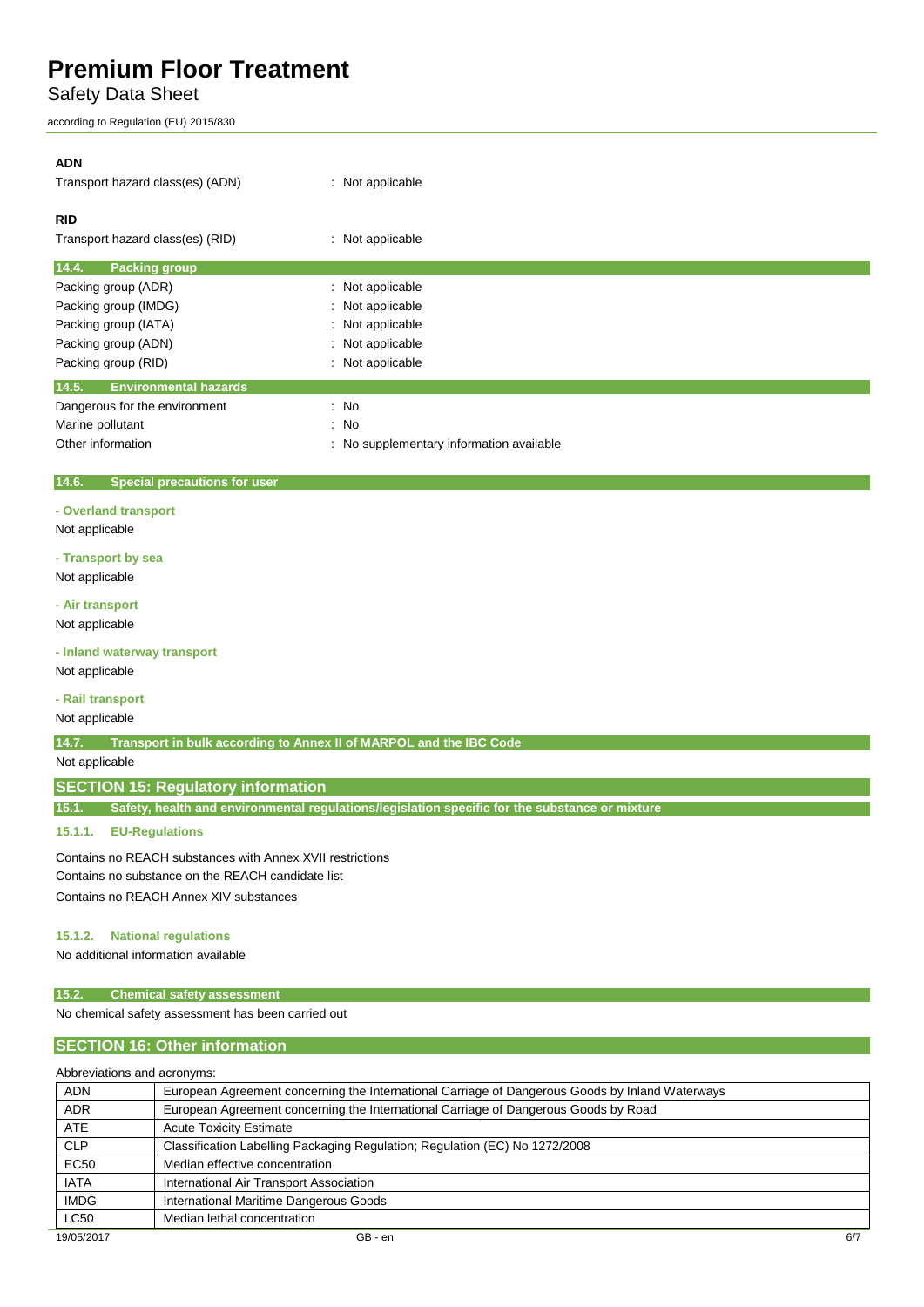Safety Data Sheet

according to Regulation (EU) 2015/830

# **ADN** Transport hazard class(es) (ADN) : Not applicable **RID** Transport hazard class(es) (RID) : Not applicable **14.4. Packing group** Packing group (ADR) : Not applicable Packing group (IMDG) : Not applicable Packing group (IATA) : Not applicable Packing group (ADN) **Example 2** and 2 applicable to the Motor Packing group (ADN) Packing group (RID) **in the case of the case of the case of the case of the case of the case of the case of the case of the case of the case of the case of the case of the case of the case of the case of the case of the ca 14.5. Environmental hazards** Dangerous for the environment : No Marine pollutant in the set of the set of the set of the set of the set of the set of the set of the set of the set of the set of the set of the set of the set of the set of the set of the set of the set of the set of the Other information **contains the container of the container** : No supplementary information available

#### **14.6. Special precautions for user**

#### **- Overland transport**

#### Not applicable

### **- Transport by sea**

Not applicable

#### **- Air transport**

Not applicable

**- Inland waterway transport** Not applicable

#### **- Rail transport**

Not applicable

**14.7. Transport in bulk according to Annex II of MARPOL and the IBC Code**

#### Not applicable

### **SECTION 15: Regulatory information**

**15.1. Safety, health and environmental regulations/legislation specific for the substance or mixture**

## **15.1.1. EU-Regulations**

Contains no REACH substances with Annex XVII restrictions Contains no substance on the REACH candidate list Contains no REACH Annex XIV substances

#### **15.1.2. National regulations**

No additional information available

#### **15.2. Chemical safety assessment**

No chemical safety assessment has been carried out

## **SECTION 16: Other information**

Abbreviations and acronyms:

| <b>ADN</b>  | European Agreement concerning the International Carriage of Dangerous Goods by Inland Waterways |  |
|-------------|-------------------------------------------------------------------------------------------------|--|
| <b>ADR</b>  | European Agreement concerning the International Carriage of Dangerous Goods by Road             |  |
| ATE         | <b>Acute Toxicity Estimate</b>                                                                  |  |
| <b>CLP</b>  | Classification Labelling Packaging Regulation; Regulation (EC) No 1272/2008                     |  |
| <b>EC50</b> | Median effective concentration                                                                  |  |
| <b>IATA</b> | International Air Transport Association                                                         |  |
| <b>IMDG</b> | International Maritime Dangerous Goods                                                          |  |
| LC50        | Median lethal concentration                                                                     |  |